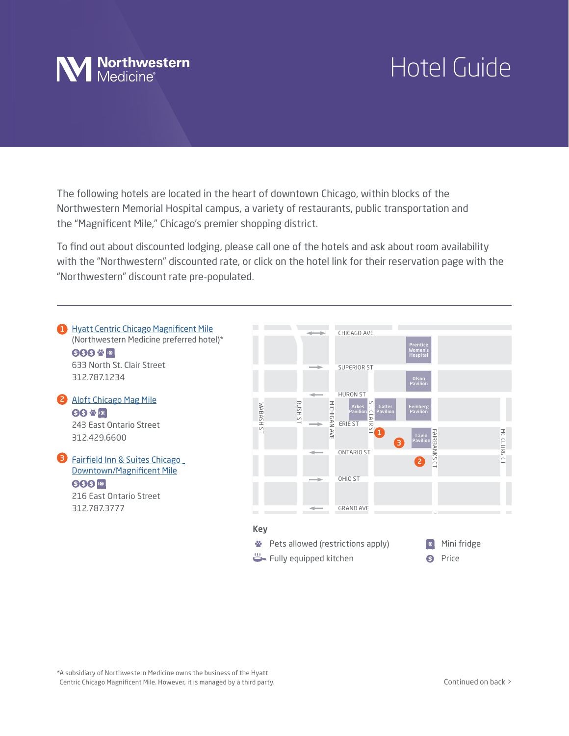

## Hotel Guide

Northwestern Memorial Hospital campus, a variety of restaurants, public transportation and the "Magnificent Mile," Chicago's premier shopping district.<br>To find out about discounted lodging, please call one of the hotels and ask about room availability The following hotels are located in the heart of downtown Chicago, within blocks of the the "Magnificent Mile," Chicago's premier shopping district.

bout room<br>eservation<br>. ie or the notels and ask about room availability<br>a the botal link for their receivation page with with the "Northwestern" discounted rate, or click on the hotel link for their reservation page with the<br>... "Northwestern" discount rate pre-populated.



\*A subsidiary of Northwestern Medicine owns the business of the Hyatt Centric Chicago Magnificent Mile. However, it is managed by a third party.